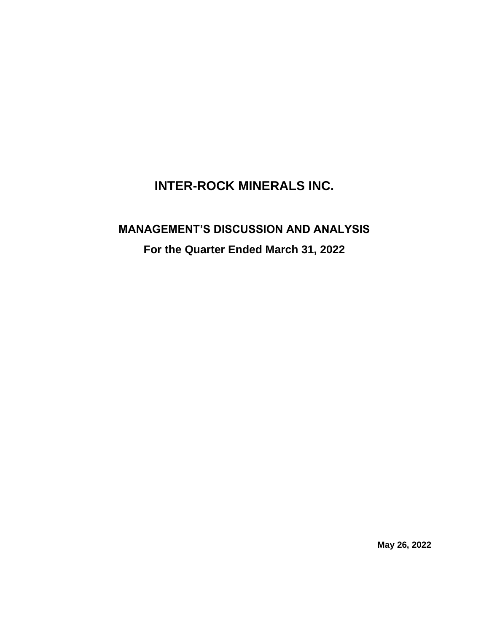## **INTER-ROCK MINERALS INC.**

# **MANAGEMENT'S DISCUSSION AND ANALYSIS For the Quarter Ended March 31, 2022**

**May 26, 2022**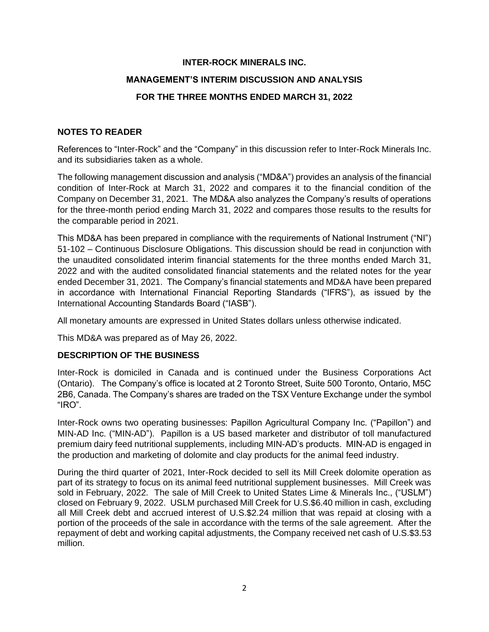## **INTER-ROCK MINERALS INC.**

## **MANAGEMENT'S INTERIM DISCUSSION AND ANALYSIS**

## **FOR THE THREE MONTHS ENDED MARCH 31, 2022**

## **NOTES TO READER**

References to "Inter-Rock" and the "Company" in this discussion refer to Inter-Rock Minerals Inc. and its subsidiaries taken as a whole.

The following management discussion and analysis ("MD&A") provides an analysis of the financial condition of Inter-Rock at March 31, 2022 and compares it to the financial condition of the Company on December 31, 2021. The MD&A also analyzes the Company's results of operations for the three-month period ending March 31, 2022 and compares those results to the results for the comparable period in 2021.

This MD&A has been prepared in compliance with the requirements of National Instrument ("NI") 51-102 – Continuous Disclosure Obligations. This discussion should be read in conjunction with the unaudited consolidated interim financial statements for the three months ended March 31, 2022 and with the audited consolidated financial statements and the related notes for the year ended December 31, 2021. The Company's financial statements and MD&A have been prepared in accordance with International Financial Reporting Standards ("IFRS"), as issued by the International Accounting Standards Board ("IASB").

All monetary amounts are expressed in United States dollars unless otherwise indicated.

This MD&A was prepared as of May 26, 2022.

### **DESCRIPTION OF THE BUSINESS**

Inter-Rock is domiciled in Canada and is continued under the Business Corporations Act (Ontario). The Company's office is located at 2 Toronto Street, Suite 500 Toronto, Ontario, M5C 2B6, Canada. The Company's shares are traded on the TSX Venture Exchange under the symbol "IRO".

Inter-Rock owns two operating businesses: Papillon Agricultural Company Inc. ("Papillon") and MIN-AD Inc. ("MIN-AD"). Papillon is a US based marketer and distributor of toll manufactured premium dairy feed nutritional supplements, including MIN-AD's products. MIN-AD is engaged in the production and marketing of dolomite and clay products for the animal feed industry.

During the third quarter of 2021, Inter-Rock decided to sell its Mill Creek dolomite operation as part of its strategy to focus on its animal feed nutritional supplement businesses. Mill Creek was sold in February, 2022. The sale of Mill Creek to United States Lime & Minerals Inc., ("USLM") closed on February 9, 2022. USLM purchased Mill Creek for U.S.\$6.40 million in cash, excluding all Mill Creek debt and accrued interest of U.S.\$2.24 million that was repaid at closing with a portion of the proceeds of the sale in accordance with the terms of the sale agreement. After the repayment of debt and working capital adjustments, the Company received net cash of U.S.\$3.53 million.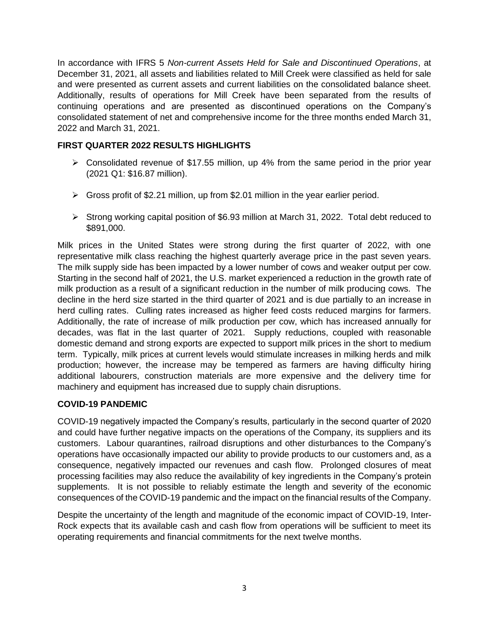In accordance with IFRS 5 *Non-current Assets Held for Sale and Discontinued Operations*, at December 31, 2021, all assets and liabilities related to Mill Creek were classified as held for sale and were presented as current assets and current liabilities on the consolidated balance sheet. Additionally, results of operations for Mill Creek have been separated from the results of continuing operations and are presented as discontinued operations on the Company's consolidated statement of net and comprehensive income for the three months ended March 31, 2022 and March 31, 2021.

## **FIRST QUARTER 2022 RESULTS HIGHLIGHTS**

- $\triangleright$  Consolidated revenue of \$17.55 million, up 4% from the same period in the prior year (2021 Q1: \$16.87 million).
- $\triangleright$  Gross profit of \$2.21 million, up from \$2.01 million in the year earlier period.
- ➢ Strong working capital position of \$6.93 million at March 31, 2022. Total debt reduced to \$891,000.

Milk prices in the United States were strong during the first quarter of 2022, with one representative milk class reaching the highest quarterly average price in the past seven years. The milk supply side has been impacted by a lower number of cows and weaker output per cow. Starting in the second half of 2021, the U.S. market experienced a reduction in the growth rate of milk production as a result of a significant reduction in the number of milk producing cows. The decline in the herd size started in the third quarter of 2021 and is due partially to an increase in herd culling rates. Culling rates increased as higher feed costs reduced margins for farmers. Additionally, the rate of increase of milk production per cow, which has increased annually for decades, was flat in the last quarter of 2021. Supply reductions, coupled with reasonable domestic demand and strong exports are expected to support milk prices in the short to medium term. Typically, milk prices at current levels would stimulate increases in milking herds and milk production; however, the increase may be tempered as farmers are having difficulty hiring additional labourers, construction materials are more expensive and the delivery time for machinery and equipment has increased due to supply chain disruptions.

## **COVID-19 PANDEMIC**

COVID-19 negatively impacted the Company's results, particularly in the second quarter of 2020 and could have further negative impacts on the operations of the Company, its suppliers and its customers. Labour quarantines, railroad disruptions and other disturbances to the Company's operations have occasionally impacted our ability to provide products to our customers and, as a consequence, negatively impacted our revenues and cash flow. Prolonged closures of meat processing facilities may also reduce the availability of key ingredients in the Company's protein supplements. It is not possible to reliably estimate the length and severity of the economic consequences of the COVID-19 pandemic and the impact on the financial results of the Company.

Despite the uncertainty of the length and magnitude of the economic impact of COVID-19, Inter-Rock expects that its available cash and cash flow from operations will be sufficient to meet its operating requirements and financial commitments for the next twelve months.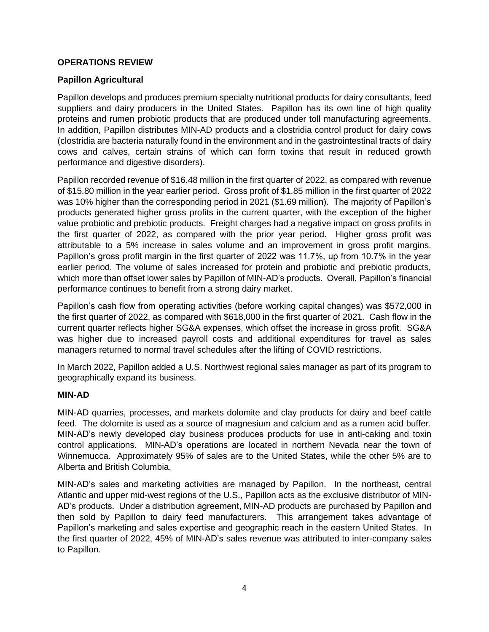## **OPERATIONS REVIEW**

## **Papillon Agricultural**

Papillon develops and produces premium specialty nutritional products for dairy consultants, feed suppliers and dairy producers in the United States. Papillon has its own line of high quality proteins and rumen probiotic products that are produced under toll manufacturing agreements. In addition, Papillon distributes MIN-AD products and a clostridia control product for dairy cows (clostridia are bacteria naturally found in the environment and in the gastrointestinal tracts of dairy cows and calves, certain strains of which can form toxins that result in reduced growth performance and digestive disorders).

Papillon recorded revenue of \$16.48 million in the first quarter of 2022, as compared with revenue of \$15.80 million in the year earlier period. Gross profit of \$1.85 million in the first quarter of 2022 was 10% higher than the corresponding period in 2021 (\$1.69 million). The majority of Papillon's products generated higher gross profits in the current quarter, with the exception of the higher value probiotic and prebiotic products. Freight charges had a negative impact on gross profits in the first quarter of 2022, as compared with the prior year period. Higher gross profit was attributable to a 5% increase in sales volume and an improvement in gross profit margins. Papillon's gross profit margin in the first quarter of 2022 was 11.7%, up from 10.7% in the year earlier period. The volume of sales increased for protein and probiotic and prebiotic products, which more than offset lower sales by Papillon of MIN-AD's products. Overall, Papillon's financial performance continues to benefit from a strong dairy market.

Papillon's cash flow from operating activities (before working capital changes) was \$572,000 in the first quarter of 2022, as compared with \$618,000 in the first quarter of 2021. Cash flow in the current quarter reflects higher SG&A expenses, which offset the increase in gross profit. SG&A was higher due to increased payroll costs and additional expenditures for travel as sales managers returned to normal travel schedules after the lifting of COVID restrictions.

In March 2022, Papillon added a U.S. Northwest regional sales manager as part of its program to geographically expand its business.

## **MIN-AD**

MIN-AD quarries, processes, and markets dolomite and clay products for dairy and beef cattle feed. The dolomite is used as a source of magnesium and calcium and as a rumen acid buffer. MIN-AD's newly developed clay business produces products for use in anti-caking and toxin control applications. MIN-AD's operations are located in northern Nevada near the town of Winnemucca. Approximately 95% of sales are to the United States, while the other 5% are to Alberta and British Columbia.

MIN-AD's sales and marketing activities are managed by Papillon. In the northeast, central Atlantic and upper mid-west regions of the U.S., Papillon acts as the exclusive distributor of MIN-AD's products. Under a distribution agreement, MIN-AD products are purchased by Papillon and then sold by Papillon to dairy feed manufacturers. This arrangement takes advantage of Papillon's marketing and sales expertise and geographic reach in the eastern United States. In the first quarter of 2022, 45% of MIN-AD's sales revenue was attributed to inter-company sales to Papillon.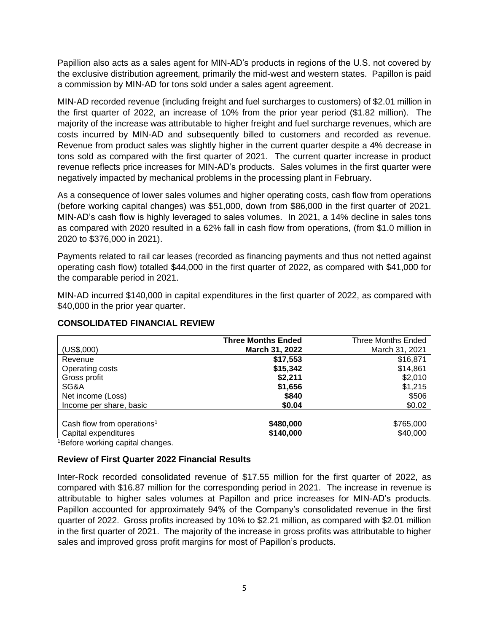Papillion also acts as a sales agent for MIN-AD's products in regions of the U.S. not covered by the exclusive distribution agreement, primarily the mid-west and western states. Papillon is paid a commission by MIN-AD for tons sold under a sales agent agreement.

MIN-AD recorded revenue (including freight and fuel surcharges to customers) of \$2.01 million in the first quarter of 2022, an increase of 10% from the prior year period (\$1.82 million). The majority of the increase was attributable to higher freight and fuel surcharge revenues, which are costs incurred by MIN-AD and subsequently billed to customers and recorded as revenue. Revenue from product sales was slightly higher in the current quarter despite a 4% decrease in tons sold as compared with the first quarter of 2021. The current quarter increase in product revenue reflects price increases for MIN-AD's products. Sales volumes in the first quarter were negatively impacted by mechanical problems in the processing plant in February.

As a consequence of lower sales volumes and higher operating costs, cash flow from operations (before working capital changes) was \$51,000, down from \$86,000 in the first quarter of 2021. MIN-AD's cash flow is highly leveraged to sales volumes. In 2021, a 14% decline in sales tons as compared with 2020 resulted in a 62% fall in cash flow from operations, (from \$1.0 million in 2020 to \$376,000 in 2021).

Payments related to rail car leases (recorded as financing payments and thus not netted against operating cash flow) totalled \$44,000 in the first quarter of 2022, as compared with \$41,000 for the comparable period in 2021.

MIN-AD incurred \$140,000 in capital expenditures in the first quarter of 2022, as compared with \$40,000 in the prior year quarter.

|                                        | <b>Three Months Ended</b> | <b>Three Months Ended</b> |
|----------------------------------------|---------------------------|---------------------------|
| (US\$,000)                             | March 31, 2022            | March 31, 2021            |
| Revenue                                | \$17,553                  | \$16,871                  |
| Operating costs                        | \$15,342                  | \$14,861                  |
| Gross profit                           | \$2,211                   | \$2,010                   |
| SG&A                                   | \$1,656                   | \$1,215                   |
| Net income (Loss)                      | \$840                     | \$506                     |
| Income per share, basic                | \$0.04                    | \$0.02                    |
| Cash flow from operations <sup>1</sup> | \$480,000                 | \$765,000                 |
| Capital expenditures                   | \$140,000                 | \$40,000                  |

## **CONSOLIDATED FINANCIAL REVIEW**

<sup>1</sup>Before working capital changes.

### **Review of First Quarter 2022 Financial Results**

Inter-Rock recorded consolidated revenue of \$17.55 million for the first quarter of 2022, as compared with \$16.87 million for the corresponding period in 2021. The increase in revenue is attributable to higher sales volumes at Papillon and price increases for MIN-AD's products. Papillon accounted for approximately 94% of the Company's consolidated revenue in the first quarter of 2022. Gross profits increased by 10% to \$2.21 million, as compared with \$2.01 million in the first quarter of 2021. The majority of the increase in gross profits was attributable to higher sales and improved gross profit margins for most of Papillon's products.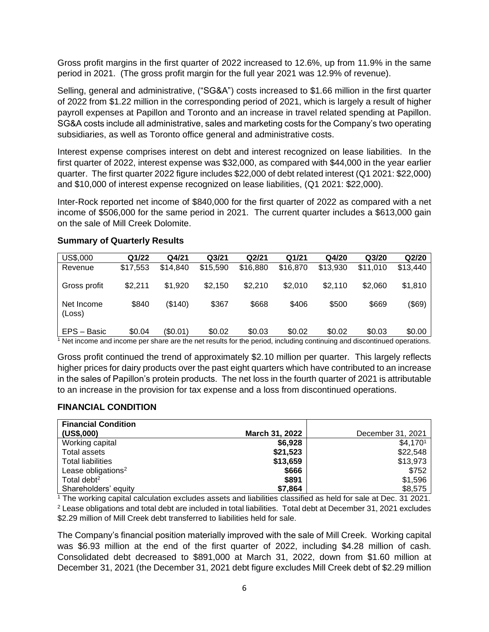Gross profit margins in the first quarter of 2022 increased to 12.6%, up from 11.9% in the same period in 2021. (The gross profit margin for the full year 2021 was 12.9% of revenue).

Selling, general and administrative, ("SG&A") costs increased to \$1.66 million in the first quarter of 2022 from \$1.22 million in the corresponding period of 2021, which is largely a result of higher payroll expenses at Papillon and Toronto and an increase in travel related spending at Papillon. SG&A costs include all administrative, sales and marketing costs for the Company's two operating subsidiaries, as well as Toronto office general and administrative costs.

Interest expense comprises interest on debt and interest recognized on lease liabilities. In the first quarter of 2022, interest expense was \$32,000, as compared with \$44,000 in the year earlier quarter. The first quarter 2022 figure includes \$22,000 of debt related interest (Q1 2021: \$22,000) and \$10,000 of interest expense recognized on lease liabilities, (Q1 2021: \$22,000).

Inter-Rock reported net income of \$840,000 for the first quarter of 2022 as compared with a net income of \$506,000 for the same period in 2021. The current quarter includes a \$613,000 gain on the sale of Mill Creek Dolomite.

| US\$,000             | Q1/22    | Q4/21    | Q <sub>3</sub> /21 | Q2/21    | Q1/21    | Q4/20    | Q <sub>3/20</sub> | Q2/20    |
|----------------------|----------|----------|--------------------|----------|----------|----------|-------------------|----------|
| Revenue              | \$17,553 | \$14,840 | \$15,590           | \$16,880 | \$16,870 | \$13,930 | \$11.010          | \$13,440 |
| Gross profit         | \$2,211  | \$1.920  | \$2,150            | \$2,210  | \$2,010  | \$2,110  | \$2,060           | \$1,810  |
| Net Income<br>(Loss) | \$840    | (\$140)  | \$367              | \$668    | \$406    | \$500    | \$669             | (\$69)   |
| EPS - Basic          | \$0.04   | (\$0.01) | \$0.02             | \$0.03   | \$0.02   | \$0.02   | \$0.03            | \$0.00   |

### **Summary of Quarterly Results**

<sup>1</sup> Net income and income per share are the net results for the period, including continuing and discontinued operations.

Gross profit continued the trend of approximately \$2.10 million per quarter. This largely reflects higher prices for dairy products over the past eight quarters which have contributed to an increase in the sales of Papillon's protein products. The net loss in the fourth quarter of 2021 is attributable to an increase in the provision for tax expense and a loss from discontinued operations.

### **FINANCIAL CONDITION**

| <b>Financial Condition</b>     |                |                   |
|--------------------------------|----------------|-------------------|
| (US\$,000)                     | March 31, 2022 | December 31, 2021 |
| Working capital                | \$6,928        | \$4,1701          |
| Total assets                   | \$21,523       | \$22,548          |
| <b>Total liabilities</b>       | \$13,659       | \$13,973          |
| Lease obligations <sup>2</sup> | \$666          | \$752             |
| Total debt <sup>2</sup>        | \$891          | \$1,596           |
| Shareholders' equity           | \$7,864        | \$8,575           |

 $\frac{1}{1}$  The working capital calculation excludes assets and liabilities classified as held for sale at Dec. 31 2021. <sup>2</sup> Lease obligations and total debt are included in total liabilities. Total debt at December 31, 2021 excludes \$2.29 million of Mill Creek debt transferred to liabilities held for sale.

The Company's financial position materially improved with the sale of Mill Creek. Working capital was \$6.93 million at the end of the first quarter of 2022, including \$4.28 million of cash. Consolidated debt decreased to \$891,000 at March 31, 2022, down from \$1.60 million at December 31, 2021 (the December 31, 2021 debt figure excludes Mill Creek debt of \$2.29 million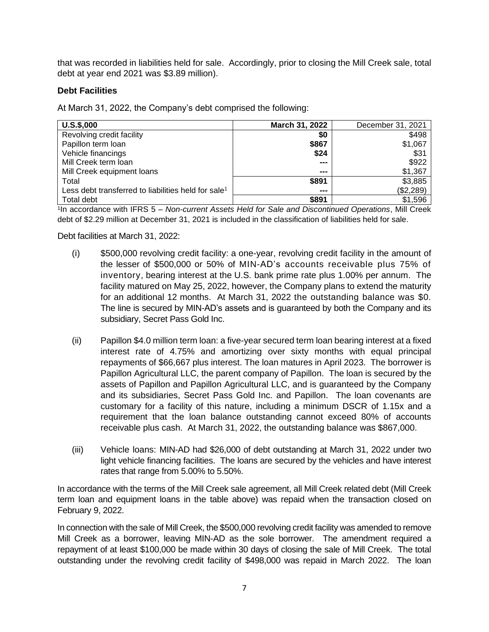that was recorded in liabilities held for sale. Accordingly, prior to closing the Mill Creek sale, total debt at year end 2021 was \$3.89 million).

### **Debt Facilities**

At March 31, 2022, the Company's debt comprised the following:

| $U.S.$ \$,000                                                   | March 31, 2022 | December 31, 2021 |
|-----------------------------------------------------------------|----------------|-------------------|
| Revolving credit facility                                       | \$0            | \$498             |
| Papillon term loan                                              | \$867          | \$1,067           |
| Vehicle financings                                              | \$24           | \$31              |
| Mill Creek term loan                                            | ---            | \$922             |
| Mill Creek equipment loans                                      | ---            | \$1,367           |
| Total                                                           | \$891          | \$3,885           |
| Less debt transferred to liabilities held for sale <sup>1</sup> | ---            | (\$2,289)         |
| Total debt                                                      | \$891          | \$1,596           |

1 In accordance with IFRS 5 – *Non-current Assets Held for Sale and Discontinued Operations*, Mill Creek debt of \$2.29 million at December 31, 2021 is included in the classification of liabilities held for sale.

Debt facilities at March 31, 2022:

- (i) \$500,000 revolving credit facility: a one-year, revolving credit facility in the amount of the lesser of \$500,000 or 50% of MIN-AD's accounts receivable plus 75% of inventory, bearing interest at the U.S. bank prime rate plus 1.00% per annum. The facility matured on May 25, 2022, however, the Company plans to extend the maturity for an additional 12 months. At March 31, 2022 the outstanding balance was \$0. The line is secured by MIN-AD's assets and is guaranteed by both the Company and its subsidiary, Secret Pass Gold Inc.
- (ii) Papillon \$4.0 million term loan: a five-year secured term loan bearing interest at a fixed interest rate of 4.75% and amortizing over sixty months with equal principal repayments of \$66,667 plus interest. The loan matures in April 2023. The borrower is Papillon Agricultural LLC, the parent company of Papillon. The loan is secured by the assets of Papillon and Papillon Agricultural LLC, and is guaranteed by the Company and its subsidiaries, Secret Pass Gold Inc. and Papillon. The loan covenants are customary for a facility of this nature, including a minimum DSCR of 1.15x and a requirement that the loan balance outstanding cannot exceed 80% of accounts receivable plus cash. At March 31, 2022, the outstanding balance was \$867,000.
- (iii) Vehicle loans: MIN-AD had \$26,000 of debt outstanding at March 31, 2022 under two light vehicle financing facilities. The loans are secured by the vehicles and have interest rates that range from 5.00% to 5.50%.

In accordance with the terms of the Mill Creek sale agreement, all Mill Creek related debt (Mill Creek term loan and equipment loans in the table above) was repaid when the transaction closed on February 9, 2022.

In connection with the sale of Mill Creek, the \$500,000 revolving credit facility was amended to remove Mill Creek as a borrower, leaving MIN-AD as the sole borrower. The amendment required a repayment of at least \$100,000 be made within 30 days of closing the sale of Mill Creek. The total outstanding under the revolving credit facility of \$498,000 was repaid in March 2022. The loan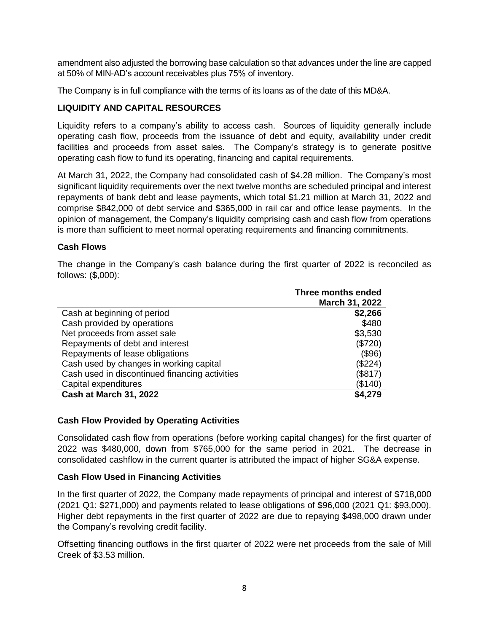amendment also adjusted the borrowing base calculation so that advances under the line are capped at 50% of MIN-AD's account receivables plus 75% of inventory.

The Company is in full compliance with the terms of its loans as of the date of this MD&A.

## **LIQUIDITY AND CAPITAL RESOURCES**

Liquidity refers to a company's ability to access cash. Sources of liquidity generally include operating cash flow, proceeds from the issuance of debt and equity, availability under credit facilities and proceeds from asset sales. The Company's strategy is to generate positive operating cash flow to fund its operating, financing and capital requirements.

At March 31, 2022, the Company had consolidated cash of \$4.28 million. The Company's most significant liquidity requirements over the next twelve months are scheduled principal and interest repayments of bank debt and lease payments, which total \$1.21 million at March 31, 2022 and comprise \$842,000 of debt service and \$365,000 in rail car and office lease payments. In the opinion of management, the Company's liquidity comprising cash and cash flow from operations is more than sufficient to meet normal operating requirements and financing commitments.

## **Cash Flows**

The change in the Company's cash balance during the first quarter of 2022 is reconciled as follows: (\$,000):

|                                                | Three months ended |
|------------------------------------------------|--------------------|
|                                                | March 31, 2022     |
| Cash at beginning of period                    | \$2,266            |
| Cash provided by operations                    | \$480              |
| Net proceeds from asset sale                   | \$3,530            |
| Repayments of debt and interest                | (\$720)            |
| Repayments of lease obligations                | $($ \$96)          |
| Cash used by changes in working capital        | (\$224)            |
| Cash used in discontinued financing activities | (\$817)            |
| Capital expenditures                           | (\$140)            |
| <b>Cash at March 31, 2022</b>                  | \$4,279            |

### **Cash Flow Provided by Operating Activities**

Consolidated cash flow from operations (before working capital changes) for the first quarter of 2022 was \$480,000, down from \$765,000 for the same period in 2021. The decrease in consolidated cashflow in the current quarter is attributed the impact of higher SG&A expense.

## **Cash Flow Used in Financing Activities**

In the first quarter of 2022, the Company made repayments of principal and interest of \$718,000 (2021 Q1: \$271,000) and payments related to lease obligations of \$96,000 (2021 Q1: \$93,000). Higher debt repayments in the first quarter of 2022 are due to repaying \$498,000 drawn under the Company's revolving credit facility.

Offsetting financing outflows in the first quarter of 2022 were net proceeds from the sale of Mill Creek of \$3.53 million.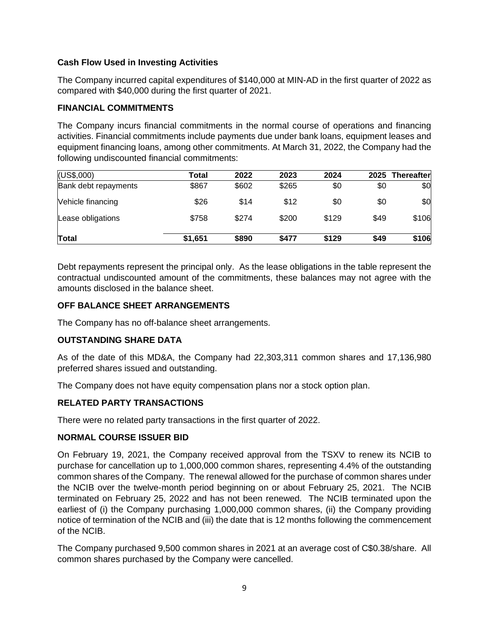## **Cash Flow Used in Investing Activities**

The Company incurred capital expenditures of \$140,000 at MIN-AD in the first quarter of 2022 as compared with \$40,000 during the first quarter of 2021.

### **FINANCIAL COMMITMENTS**

The Company incurs financial commitments in the normal course of operations and financing activities. Financial commitments include payments due under bank loans, equipment leases and equipment financing loans, among other commitments. At March 31, 2022, the Company had the following undiscounted financial commitments:

| (US\$,000)           | Total   | 2022  | 2023  | 2024  | 2025 | <b>Thereafter</b> |
|----------------------|---------|-------|-------|-------|------|-------------------|
| Bank debt repayments | \$867   | \$602 | \$265 | \$0   | \$0  | \$0               |
| Vehicle financing    | \$26    | \$14  | \$12  | \$0   | \$0  | \$0               |
| Lease obligations    | \$758   | \$274 | \$200 | \$129 | \$49 | \$106             |
| <b>Total</b>         | \$1,651 | \$890 | \$477 | \$129 | \$49 | \$106             |

Debt repayments represent the principal only. As the lease obligations in the table represent the contractual undiscounted amount of the commitments, these balances may not agree with the amounts disclosed in the balance sheet.

## **OFF BALANCE SHEET ARRANGEMENTS**

The Company has no off-balance sheet arrangements.

### **OUTSTANDING SHARE DATA**

As of the date of this MD&A, the Company had 22,303,311 common shares and 17,136,980 preferred shares issued and outstanding.

The Company does not have equity compensation plans nor a stock option plan.

### **RELATED PARTY TRANSACTIONS**

There were no related party transactions in the first quarter of 2022.

### **NORMAL COURSE ISSUER BID**

On February 19, 2021, the Company received approval from the TSXV to renew its NCIB to purchase for cancellation up to 1,000,000 common shares, representing 4.4% of the outstanding common shares of the Company. The renewal allowed for the purchase of common shares under the NCIB over the twelve-month period beginning on or about February 25, 2021. The NCIB terminated on February 25, 2022 and has not been renewed. The NCIB terminated upon the earliest of (i) the Company purchasing 1,000,000 common shares, (ii) the Company providing notice of termination of the NCIB and (iii) the date that is 12 months following the commencement of the NCIB.

The Company purchased 9,500 common shares in 2021 at an average cost of C\$0.38/share. All common shares purchased by the Company were cancelled.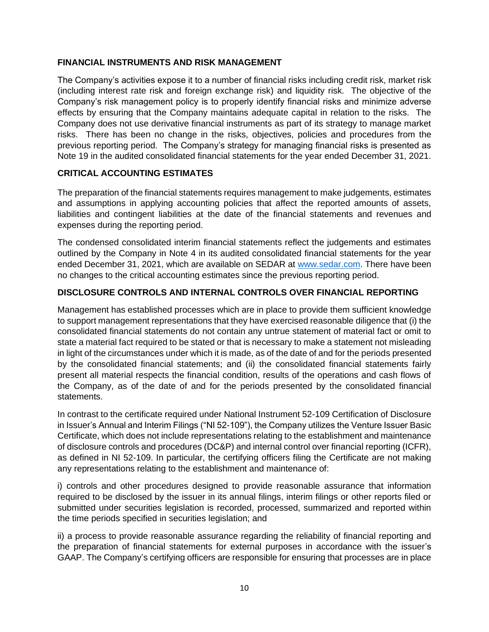## **FINANCIAL INSTRUMENTS AND RISK MANAGEMENT**

The Company's activities expose it to a number of financial risks including credit risk, market risk (including interest rate risk and foreign exchange risk) and liquidity risk. The objective of the Company's risk management policy is to properly identify financial risks and minimize adverse effects by ensuring that the Company maintains adequate capital in relation to the risks. The Company does not use derivative financial instruments as part of its strategy to manage market risks. There has been no change in the risks, objectives, policies and procedures from the previous reporting period. The Company's strategy for managing financial risks is presented as Note 19 in the audited consolidated financial statements for the year ended December 31, 2021.

## **CRITICAL ACCOUNTING ESTIMATES**

The preparation of the financial statements requires management to make judgements, estimates and assumptions in applying accounting policies that affect the reported amounts of assets, liabilities and contingent liabilities at the date of the financial statements and revenues and expenses during the reporting period.

The condensed consolidated interim financial statements reflect the judgements and estimates outlined by the Company in Note 4 in its audited consolidated financial statements for the year ended December 31, 2021, which are available on SEDAR at [www.sedar.com.](http://www.sedar.com/) There have been no changes to the critical accounting estimates since the previous reporting period.

## **DISCLOSURE CONTROLS AND INTERNAL CONTROLS OVER FINANCIAL REPORTING**

Management has established processes which are in place to provide them sufficient knowledge to support management representations that they have exercised reasonable diligence that (i) the consolidated financial statements do not contain any untrue statement of material fact or omit to state a material fact required to be stated or that is necessary to make a statement not misleading in light of the circumstances under which it is made, as of the date of and for the periods presented by the consolidated financial statements; and (ii) the consolidated financial statements fairly present all material respects the financial condition, results of the operations and cash flows of the Company, as of the date of and for the periods presented by the consolidated financial statements.

In contrast to the certificate required under National Instrument 52-109 Certification of Disclosure in Issuer's Annual and Interim Filings ("NI 52-109"), the Company utilizes the Venture Issuer Basic Certificate, which does not include representations relating to the establishment and maintenance of disclosure controls and procedures (DC&P) and internal control over financial reporting (ICFR), as defined in NI 52-109. In particular, the certifying officers filing the Certificate are not making any representations relating to the establishment and maintenance of:

i) controls and other procedures designed to provide reasonable assurance that information required to be disclosed by the issuer in its annual filings, interim filings or other reports filed or submitted under securities legislation is recorded, processed, summarized and reported within the time periods specified in securities legislation; and

ii) a process to provide reasonable assurance regarding the reliability of financial reporting and the preparation of financial statements for external purposes in accordance with the issuer's GAAP. The Company's certifying officers are responsible for ensuring that processes are in place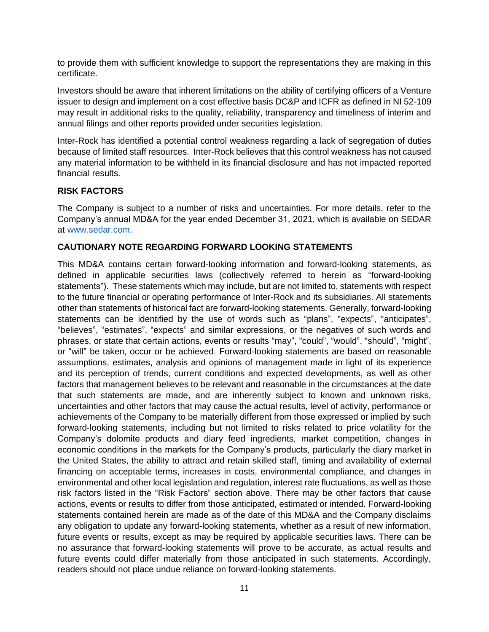to provide them with sufficient knowledge to support the representations they are making in this certificate.

Investors should be aware that inherent limitations on the ability of certifying officers of a Venture issuer to design and implement on a cost effective basis DC&P and ICFR as defined in NI 52-109 may result in additional risks to the quality, reliability, transparency and timeliness of interim and annual filings and other reports provided under securities legislation.

Inter-Rock has identified a potential control weakness regarding a lack of segregation of duties because of limited staff resources. Inter-Rock believes that this control weakness has not caused any material information to be withheld in its financial disclosure and has not impacted reported financial results.

## **RISK FACTORS**

The Company is subject to a number of risks and uncertainties. For more details, refer to the Company's annual MD&A for the year ended December 31, 2021, which is available on SEDAR at [www.sedar.com.](http://www.sedar.com/)

## **CAUTIONARY NOTE REGARDING FORWARD LOOKING STATEMENTS**

This MD&A contains certain forward-looking information and forward-looking statements, as defined in applicable securities laws (collectively referred to herein as "forward-looking statements"). These statements which may include, but are not limited to, statements with respect to the future financial or operating performance of Inter-Rock and its subsidiaries. All statements other than statements of historical fact are forward-looking statements. Generally, forward-looking statements can be identified by the use of words such as "plans", "expects", "anticipates", "believes", "estimates", "expects" and similar expressions, or the negatives of such words and phrases, or state that certain actions, events or results "may", "could", "would", "should", "might", or "will" be taken, occur or be achieved. Forward-looking statements are based on reasonable assumptions, estimates, analysis and opinions of management made in light of its experience and its perception of trends, current conditions and expected developments, as well as other factors that management believes to be relevant and reasonable in the circumstances at the date that such statements are made, and are inherently subject to known and unknown risks, uncertainties and other factors that may cause the actual results, level of activity, performance or achievements of the Company to be materially different from those expressed or implied by such forward-looking statements, including but not limited to risks related to price volatility for the Company's dolomite products and diary feed ingredients, market competition, changes in economic conditions in the markets for the Company's products, particularly the diary market in the United States, the ability to attract and retain skilled staff, timing and availability of external financing on acceptable terms, increases in costs, environmental compliance, and changes in environmental and other local legislation and regulation, interest rate fluctuations, as well as those risk factors listed in the "Risk Factors" section above. There may be other factors that cause actions, events or results to differ from those anticipated, estimated or intended. Forward-looking statements contained herein are made as of the date of this MD&A and the Company disclaims any obligation to update any forward-looking statements, whether as a result of new information, future events or results, except as may be required by applicable securities laws. There can be no assurance that forward-looking statements will prove to be accurate, as actual results and future events could differ materially from those anticipated in such statements. Accordingly, readers should not place undue reliance on forward-looking statements.